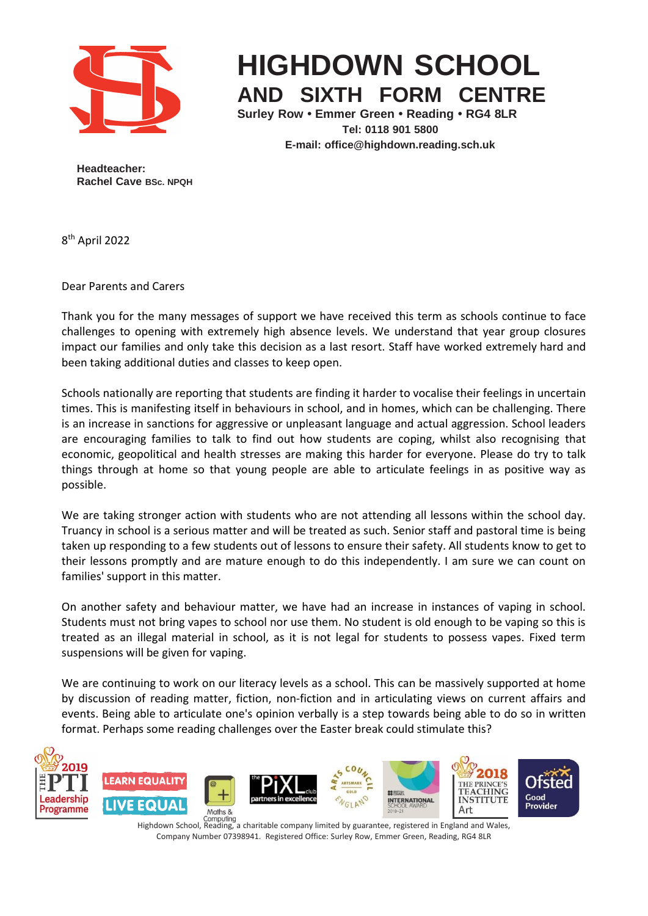

## **HIGHDOWN SCHOOL AND SIXTH FORM CENTRE**

**Surley Row • Emmer Green • Reading • RG4 8LR Tel: 0118 901 5800 E-mail: [office@highdown.reading.sch.uk](mailto:office@highdown.reading.sch.uk)**

**Headteacher: Rachel Cave BSc. NPQH**

8 th April 2022

Dear Parents and Carers

Thank you for the many messages of support we have received this term as schools continue to face challenges to opening with extremely high absence levels. We understand that year group closures impact our families and only take this decision as a last resort. Staff have worked extremely hard and been taking additional duties and classes to keep open.

Schools nationally are reporting that students are finding it harder to vocalise their feelings in uncertain times. This is manifesting itself in behaviours in school, and in homes, which can be challenging. There is an increase in sanctions for aggressive or unpleasant language and actual aggression. School leaders are encouraging families to talk to find out how students are coping, whilst also recognising that economic, geopolitical and health stresses are making this harder for everyone. Please do try to talk things through at home so that young people are able to articulate feelings in as positive way as possible.

We are taking stronger action with students who are not attending all lessons within the school day. Truancy in school is a serious matter and will be treated as such. Senior staff and pastoral time is being taken up responding to a few students out of lessons to ensure their safety. All students know to get to their lessons promptly and are mature enough to do this independently. I am sure we can count on families' support in this matter.

On another safety and behaviour matter, we have had an increase in instances of vaping in school. Students must not bring vapes to school nor use them. No student is old enough to be vaping so this is treated as an illegal material in school, as it is not legal for students to possess vapes. Fixed term suspensions will be given for vaping.

We are continuing to work on our literacy levels as a school. This can be massively supported at home by discussion of reading matter, fiction, non-fiction and in articulating views on current affairs and events. Being able to articulate one's opinion verbally is a step towards being able to do so in written format. Perhaps some reading challenges over the Easter break could stimulate this?



Highdown School, Reading, a charitable company limited by guarantee, registered in England and Wales, Company Number 07398941. Registered Office: Surley Row, Emmer Green, Reading, RG4 8LR